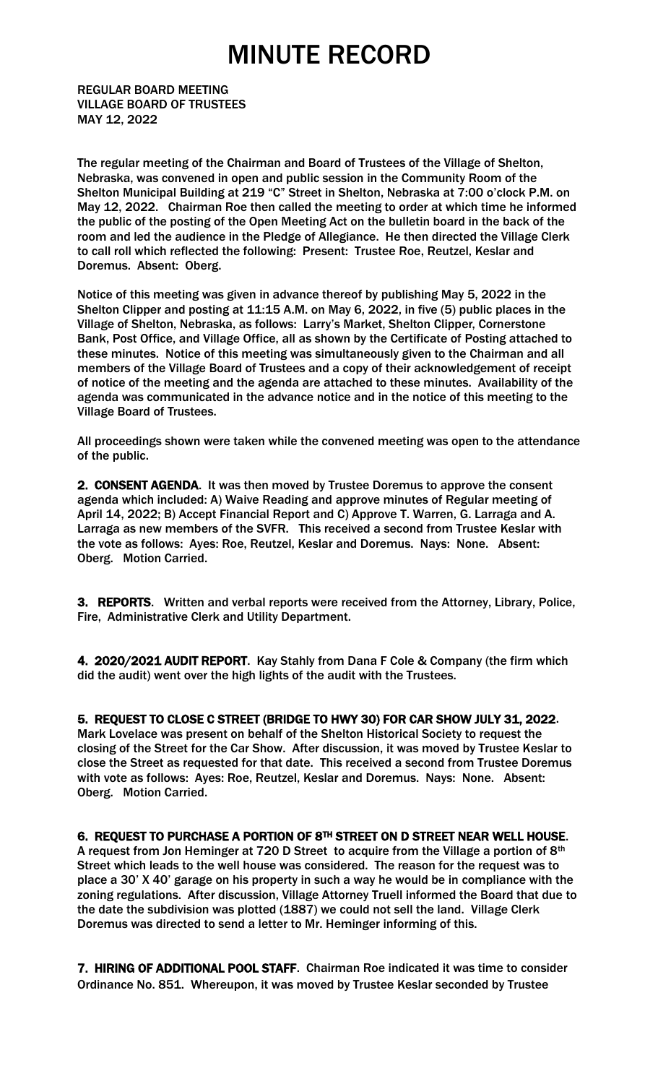REGULAR BOARD MEETING VILLAGE BOARD OF TRUSTEES MAY 12, 2022

The regular meeting of the Chairman and Board of Trustees of the Village of Shelton, Nebraska, was convened in open and public session in the Community Room of the Shelton Municipal Building at 219 "C" Street in Shelton, Nebraska at 7:00 o'clock P.M. on May 12, 2022. Chairman Roe then called the meeting to order at which time he informed the public of the posting of the Open Meeting Act on the bulletin board in the back of the room and led the audience in the Pledge of Allegiance. He then directed the Village Clerk to call roll which reflected the following: Present: Trustee Roe, Reutzel, Keslar and Doremus. Absent: Oberg.

Notice of this meeting was given in advance thereof by publishing May 5, 2022 in the Shelton Clipper and posting at 11:15 A.M. on May 6, 2022, in five (5) public places in the Village of Shelton, Nebraska, as follows: Larry's Market, Shelton Clipper, Cornerstone Bank, Post Office, and Village Office, all as shown by the Certificate of Posting attached to these minutes. Notice of this meeting was simultaneously given to the Chairman and all members of the Village Board of Trustees and a copy of their acknowledgement of receipt of notice of the meeting and the agenda are attached to these minutes. Availability of the agenda was communicated in the advance notice and in the notice of this meeting to the Village Board of Trustees.

All proceedings shown were taken while the convened meeting was open to the attendance of the public.

2. CONSENT AGENDA. It was then moved by Trustee Doremus to approve the consent agenda which included: A) Waive Reading and approve minutes of Regular meeting of April 14, 2022; B) Accept Financial Report and C) Approve T. Warren, G. Larraga and A. Larraga as new members of the SVFR. This received a second from Trustee Keslar with the vote as follows: Ayes: Roe, Reutzel, Keslar and Doremus. Nays: None. Absent: Oberg. Motion Carried.

3. REPORTS. Written and verbal reports were received from the Attorney, Library, Police, Fire, Administrative Clerk and Utility Department.

4. 2020/2021 AUDIT REPORT. Kay Stahly from Dana F Cole & Company (the firm which did the audit) went over the high lights of the audit with the Trustees.

5. REQUEST TO CLOSE C STREET (BRIDGE TO HWY 30) FOR CAR SHOW JULY 31, 2022.

Mark Lovelace was present on behalf of the Shelton Historical Society to request the closing of the Street for the Car Show. After discussion, it was moved by Trustee Keslar to close the Street as requested for that date. This received a second from Trustee Doremus with vote as follows: Ayes: Roe, Reutzel, Keslar and Doremus. Nays: None. Absent: Oberg. Motion Carried.

6. REQUEST TO PURCHASE A PORTION OF 8TH STREET ON D STREET NEAR WELL HOUSE.

A request from Jon Heminger at 720 D Street to acquire from the Village a portion of 8th Street which leads to the well house was considered. The reason for the request was to place a 30' X 40' garage on his property in such a way he would be in compliance with the zoning regulations. After discussion, Village Attorney Truell informed the Board that due to the date the subdivision was plotted (1887) we could not sell the land. Village Clerk Doremus was directed to send a letter to Mr. Heminger informing of this.

7. HIRING OF ADDITIONAL POOL STAFF. Chairman Roe indicated it was time to consider Ordinance No. 851. Whereupon, it was moved by Trustee Keslar seconded by Trustee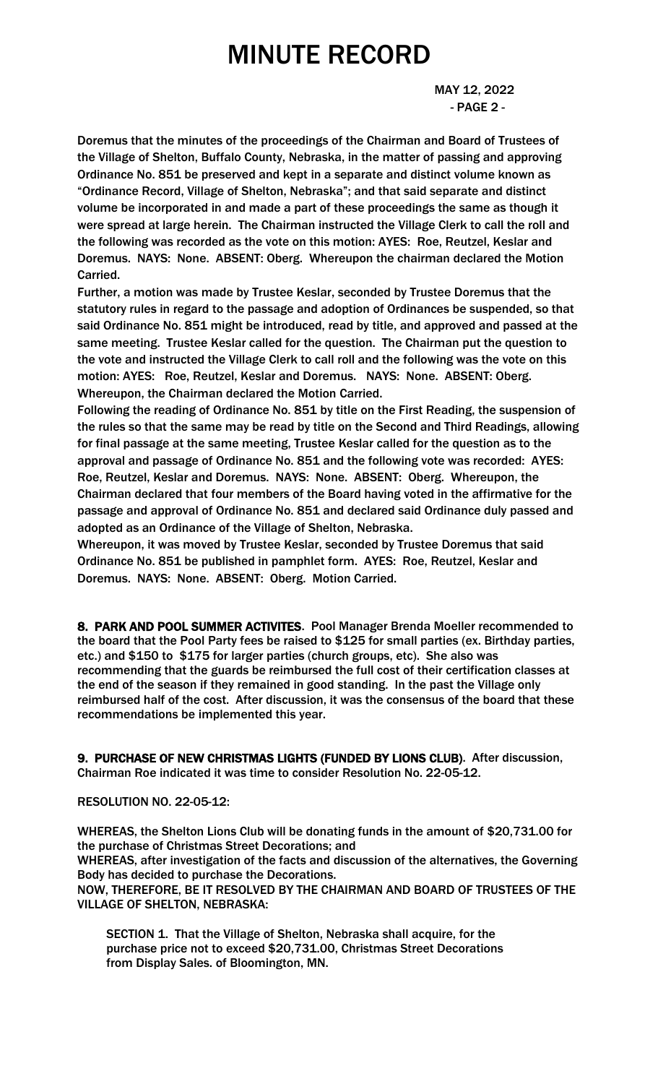MAY 12, 2022 - PAGE 2 -

Doremus that the minutes of the proceedings of the Chairman and Board of Trustees of the Village of Shelton, Buffalo County, Nebraska, in the matter of passing and approving Ordinance No. 851 be preserved and kept in a separate and distinct volume known as "Ordinance Record, Village of Shelton, Nebraska"; and that said separate and distinct volume be incorporated in and made a part of these proceedings the same as though it were spread at large herein. The Chairman instructed the Village Clerk to call the roll and the following was recorded as the vote on this motion: AYES: Roe, Reutzel, Keslar and Doremus. NAYS: None. ABSENT: Oberg. Whereupon the chairman declared the Motion Carried.

Further, a motion was made by Trustee Keslar, seconded by Trustee Doremus that the statutory rules in regard to the passage and adoption of Ordinances be suspended, so that said Ordinance No. 851 might be introduced, read by title, and approved and passed at the same meeting. Trustee Keslar called for the question. The Chairman put the question to the vote and instructed the Village Clerk to call roll and the following was the vote on this motion: AYES: Roe, Reutzel, Keslar and Doremus. NAYS: None. ABSENT: Oberg. Whereupon, the Chairman declared the Motion Carried.

Following the reading of Ordinance No. 851 by title on the First Reading, the suspension of the rules so that the same may be read by title on the Second and Third Readings, allowing for final passage at the same meeting, Trustee Keslar called for the question as to the approval and passage of Ordinance No. 851 and the following vote was recorded: AYES: Roe, Reutzel, Keslar and Doremus. NAYS: None. ABSENT: Oberg. Whereupon, the Chairman declared that four members of the Board having voted in the affirmative for the passage and approval of Ordinance No. 851 and declared said Ordinance duly passed and adopted as an Ordinance of the Village of Shelton, Nebraska.

Whereupon, it was moved by Trustee Keslar, seconded by Trustee Doremus that said Ordinance No. 851 be published in pamphlet form. AYES: Roe, Reutzel, Keslar and Doremus. NAYS: None. ABSENT: Oberg. Motion Carried.

8. PARK AND POOL SUMMER ACTIVITES. Pool Manager Brenda Moeller recommended to the board that the Pool Party fees be raised to \$125 for small parties (ex. Birthday parties, etc.) and \$150 to \$175 for larger parties (church groups, etc). She also was recommending that the guards be reimbursed the full cost of their certification classes at the end of the season if they remained in good standing. In the past the Village only reimbursed half of the cost. After discussion, it was the consensus of the board that these recommendations be implemented this year.

9. PURCHASE OF NEW CHRISTMAS LIGHTS (FUNDED BY LIONS CLUB). After discussion, Chairman Roe indicated it was time to consider Resolution No. 22-05-12.

### RESOLUTION NO. 22-05-12:

WHEREAS, the Shelton Lions Club will be donating funds in the amount of \$20,731.00 for the purchase of Christmas Street Decorations; and

WHEREAS, after investigation of the facts and discussion of the alternatives, the Governing Body has decided to purchase the Decorations.

NOW, THEREFORE, BE IT RESOLVED BY THE CHAIRMAN AND BOARD OF TRUSTEES OF THE VILLAGE OF SHELTON, NEBRASKA:

 SECTION 1. That the Village of Shelton, Nebraska shall acquire, for the purchase price not to exceed \$20,731.00, Christmas Street Decorations from Display Sales. of Bloomington, MN.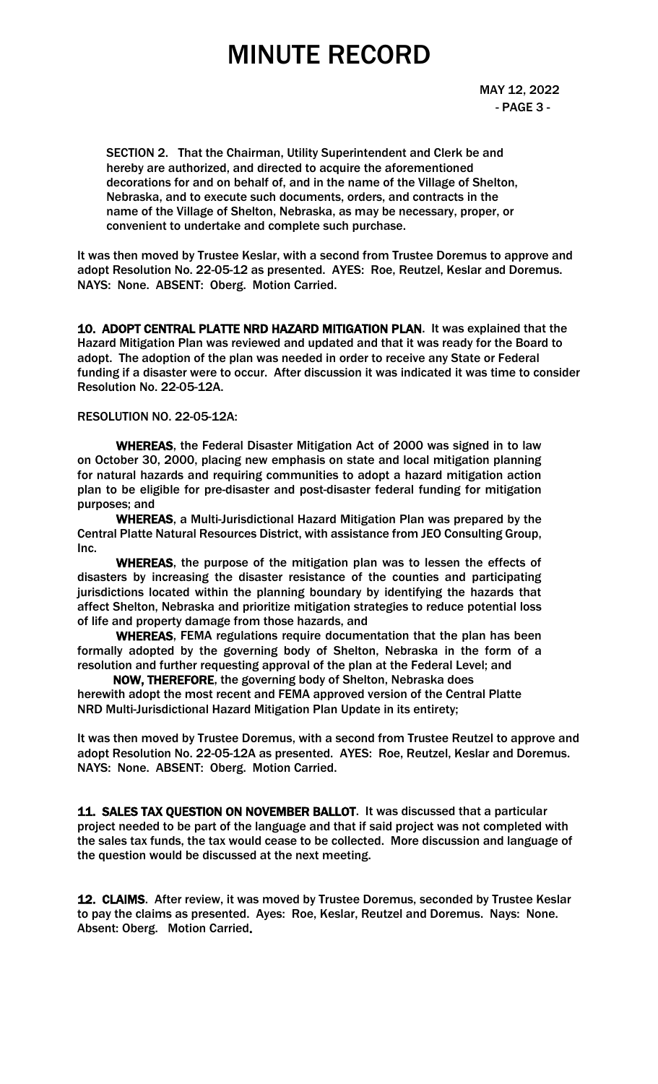MAY 12, 2022 - PAGE 3 -

 SECTION 2. That the Chairman, Utility Superintendent and Clerk be and hereby are authorized, and directed to acquire the aforementioned decorations for and on behalf of, and in the name of the Village of Shelton, Nebraska, and to execute such documents, orders, and contracts in the name of the Village of Shelton, Nebraska, as may be necessary, proper, or convenient to undertake and complete such purchase.

It was then moved by Trustee Keslar, with a second from Trustee Doremus to approve and adopt Resolution No. 22-05-12 as presented. AYES: Roe, Reutzel, Keslar and Doremus. NAYS: None. ABSENT: Oberg. Motion Carried.

10. ADOPT CENTRAL PLATTE NRD HAZARD MITIGATION PLAN. It was explained that the Hazard Mitigation Plan was reviewed and updated and that it was ready for the Board to adopt. The adoption of the plan was needed in order to receive any State or Federal funding if a disaster were to occur. After discussion it was indicated it was time to consider Resolution No. 22-05-12A.

### RESOLUTION NO. 22-05-12A:

WHEREAS, the Federal Disaster Mitigation Act of 2000 was signed in to law on October 30, 2000, placing new emphasis on state and local mitigation planning for natural hazards and requiring communities to adopt a hazard mitigation action plan to be eligible for pre-disaster and post-disaster federal funding for mitigation purposes; and

WHEREAS, a Multi-Jurisdictional Hazard Mitigation Plan was prepared by the Central Platte Natural Resources District, with assistance from JEO Consulting Group, Inc.

WHEREAS, the purpose of the mitigation plan was to lessen the effects of disasters by increasing the disaster resistance of the counties and participating jurisdictions located within the planning boundary by identifying the hazards that affect Shelton, Nebraska and prioritize mitigation strategies to reduce potential loss of life and property damage from those hazards, and

WHEREAS, FEMA regulations require documentation that the plan has been formally adopted by the governing body of Shelton, Nebraska in the form of a resolution and further requesting approval of the plan at the Federal Level; and

 NOW, THEREFORE, the governing body of Shelton, Nebraska does herewith adopt the most recent and FEMA approved version of the Central Platte NRD Multi-Jurisdictional Hazard Mitigation Plan Update in its entirety;

It was then moved by Trustee Doremus, with a second from Trustee Reutzel to approve and adopt Resolution No. 22-05-12A as presented. AYES: Roe, Reutzel, Keslar and Doremus. NAYS: None. ABSENT: Oberg. Motion Carried.

11. SALES TAX QUESTION ON NOVEMBER BALLOT. It was discussed that a particular project needed to be part of the language and that if said project was not completed with the sales tax funds, the tax would cease to be collected. More discussion and language of the question would be discussed at the next meeting.

12. CLAIMS. After review, it was moved by Trustee Doremus, seconded by Trustee Keslar to pay the claims as presented. Ayes: Roe, Keslar, Reutzel and Doremus. Nays: None. Absent: Oberg. Motion Carried.